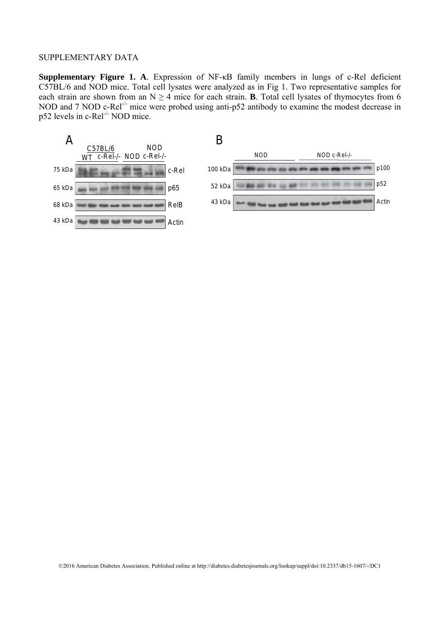**Supplementary Figure 1. A**. Expression of NF-κB family members in lungs of c-Rel deficient C57BL/6 and NOD mice. Total cell lysates were analyzed as in Fig 1. Two representative samples for each strain are shown from an  $N \ge 4$  mice for each strain. **B**. Total cell lysates of thymocytes from 6 NOD and 7 NOD c-Rel<sup>-/-</sup> mice were probed using anti-p52 antibody to examine the modest decrease in p52 levels in c-Rel-/- NOD mice.

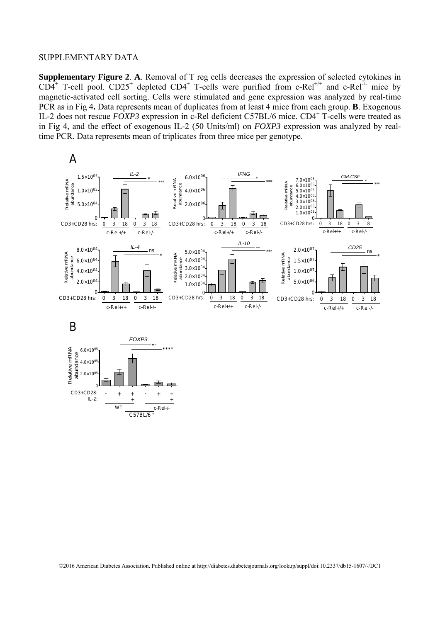0

WT c-Rel-/- - + + - + + + +

 $C57BL/6$ 

CD3+CD28:  $II - 2$ 

**Supplementary Figure 2**. **A**. Removal of T reg cells decreases the expression of selected cytokines in  $CD4^+$  T-cell pool.  $CD25^+$  depleted  $CD4^+$  T-cells were purified from c-Rel<sup>+/+</sup> and c-Rel<sup>-/-</sup> mice by magnetic-activated cell sorting. Cells were stimulated and gene expression was analyzed by real-time PCR as in Fig 4**.** Data represents mean of duplicates from at least 4 mice from each group. **B**. Exogenous IL-2 does not rescue *FOXP3* expression in c-Rel deficient C57BL/6 mice. CD4<sup>+</sup> T-cells were treated as in Fig 4, and the effect of exogenous IL-2 (50 Units/ml) on *FOXP3* expression was analyzed by realtime PCR. Data represents mean of triplicates from three mice per genotype.



©2016 American Diabetes Association. Published online at http://diabetes.diabetesjournals.org/lookup/suppl/doi:10.2337/db15-1607/-/DC1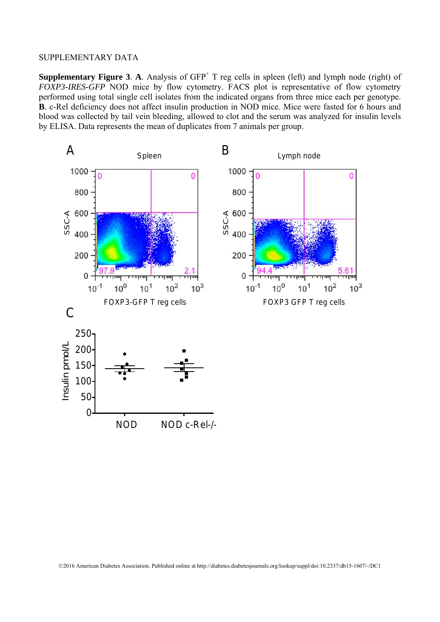**Supplementary Figure 3. A.** Analysis of  $GFP<sup>+</sup> T$  reg cells in spleen (left) and lymph node (right) of *FOXP3-IRES-GFP* NOD mice by flow cytometry. FACS plot is representative of flow cytometry performed using total single cell isolates from the indicated organs from three mice each per genotype. **B**. c-Rel deficiency does not affect insulin production in NOD mice. Mice were fasted for 6 hours and blood was collected by tail vein bleeding, allowed to clot and the serum was analyzed for insulin levels by ELISA. Data represents the mean of duplicates from 7 animals per group.

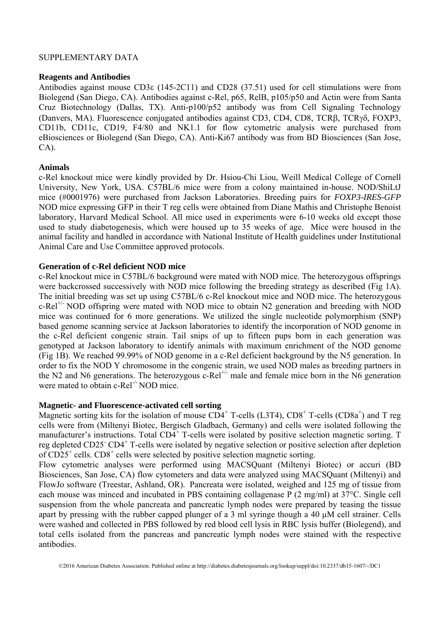### **Reagents and Antibodies**

Antibodies against mouse CD3 $\varepsilon$  (145-2C11) and CD28 (37.51) used for cell stimulations were from Biolegend (San Diego, CA). Antibodies against c-Rel, p65, RelB, p105/p50 and Actin were from Santa Cruz Biotechnology (Dallas, TX). Anti-p100/p52 antibody was from Cell Signaling Technology (Danvers, MA). Fluorescence conjugated antibodies against CD3, CD4, CD8, TCRβ, TCRγδ, FOXP3, CD11b, CD11c, CD19, F4/80 and NK1.1 for flow cytometric analysis were purchased from eBiosciences or Biolegend (San Diego, CA). Anti-Ki67 antibody was from BD Biosciences (San Jose, CA).

# **Animals**

c-Rel knockout mice were kindly provided by Dr. Hsiou-Chi Liou, Weill Medical College of Cornell University, New York, USA. C57BL/6 mice were from a colony maintained in-house. NOD/ShiLtJ mice (#0001976) were purchased from Jackson Laboratories. Breeding pairs for *FOXP3-IRES-GFP* NOD mice expressing GFP in their T reg cells were obtained from Diane Mathis and Christophe Benoist laboratory, Harvard Medical School. All mice used in experiments were 6-10 weeks old except those used to study diabetogenesis, which were housed up to 35 weeks of age. Mice were housed in the animal facility and handled in accordance with National Institute of Health guidelines under Institutional Animal Care and Use Committee approved protocols.

# **Generation of c-Rel deficient NOD mice**

c-Rel knockout mice in C57BL/6 background were mated with NOD mice. The heterozygous offsprings were backcrossed successively with NOD mice following the breeding strategy as described (Fig 1A). The initial breeding was set up using C57BL/6 c-Rel knockout mice and NOD mice. The heterozygous  $c-Rel^{+/-} NOD$  offspring were mated with NOD mice to obtain N2 generation and breeding with NOD mice was continued for 6 more generations. We utilized the single nucleotide polymorphism (SNP) based genome scanning service at Jackson laboratories to identify the incorporation of NOD genome in the c-Rel deficient congenic strain. Tail snips of up to fifteen pups born in each generation was genotyped at Jackson laboratory to identify animals with maximum enrichment of the NOD genome (Fig 1B). We reached 99.99% of NOD genome in a c-Rel deficient background by the N5 generation. In order to fix the NOD Y chromosome in the congenic strain, we used NOD males as breeding partners in the N2 and N6 generations. The heterozygous c-Rel<sup>+/-</sup> male and female mice born in the N6 generation were mated to obtain  $c\text{-}Rel^{-/-}NOD$  mice.

#### **Magnetic- and Fluorescence-activated cell sorting**

Magnetic sorting kits for the isolation of mouse  $CD4^+$  T-cells (L3T4),  $CD8^+$  T-cells (CD8a<sup>+</sup>) and T reg cells were from (Miltenyi Biotec, Bergisch Gladbach, Germany) and cells were isolated following the manufacturer's instructions. Total CD4<sup>+</sup> T-cells were isolated by positive selection magnetic sorting. T reg depleted CD25<sup>-</sup> CD4<sup>+</sup> T-cells were isolated by negative selection or positive selection after depletion of CD25<sup>+</sup> cells. CD8<sup>+</sup> cells were selected by positive selection magnetic sorting.

Flow cytometric analyses were performed using MACSQuant (Miltenyi Biotec) or accuri (BD Biosciences, San Jose, CA) flow cytometers and data were analyzed using MACSQuant (Miltenyi) and FlowJo software (Treestar, Ashland, OR). Pancreata were isolated, weighed and 125 mg of tissue from each mouse was minced and incubated in PBS containing collagenase P (2 mg/ml) at 37°C. Single cell suspension from the whole pancreata and pancreatic lymph nodes were prepared by teasing the tissue apart by pressing with the rubber capped plunger of a 3 ml syringe though a 40 μM cell strainer. Cells were washed and collected in PBS followed by red blood cell lysis in RBC lysis buffer (Biolegend), and total cells isolated from the pancreas and pancreatic lymph nodes were stained with the respective antibodies.